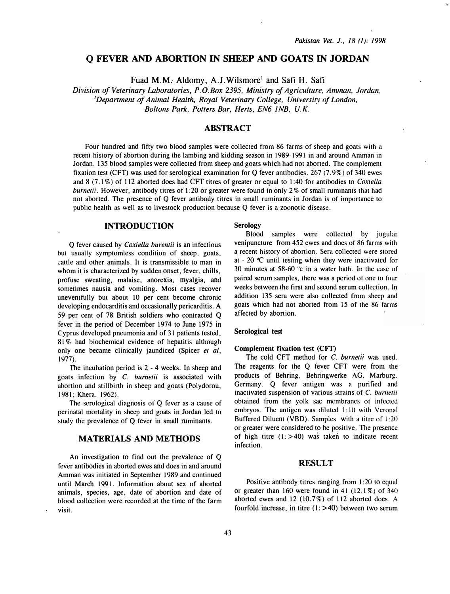# Q FEVER AND ABORTION IN SHEEP AND GOATS IN JORDAN

Fuad M.M. Aldomy, A.J. Wilsmore<sup>1</sup> and Safi H. Safi

Division of Veterinary Laboratories, P. O:Box 2395, Ministry of Agriculture, Amman, Jordan, 'Department of Animal Health, Royal Veterinary College, University of London, Boltons Park, Potters Bar, Herts, EN6 JNB, U.K.

## ABSTRACT

Four hundred and fifty two blood samples were collected from 86 farms of sheep and goats with a recent history of abortion during the lambing and kidding season in 1989-1991 in and around Amman in Jordan. 135 blood samples were collected from sheep and goats which had not aborted. The complement fixation test (CFT) was used for serological examination for Q fever antibodies. 267 (7. 9%) of 340 ewes and 8 (7.1%) of 112 aborted does had CFT titres of greater or equal to 1:40 for antibodies to Coxiella burnetii. However, antibody titres of 1:20 or greater were found in only 2% of small ruminants that had not aborted. The presence of Q fever antibody titres in small ruminants in Jordan is of importance to public health as well as to livestock production because Q fever is a zoonotic disease.

## INTRODUCTION

Q fever caused by Coxiella burentii is an infectious but usually symptomless condition of sheep, goats, cattle and other animals. It is transmissible to man in whom it is characterized by sudden onset, fever, chills, profuse sweating, malaise, anorexia, myalgia, and sometimes nausia and vomiting. Most cases recover uneventfully but about 10 per cent become chronic developing endocarditis and occasionally pericarditis. A 59 per cent of 78 British soldiers who contracted Q fever in the period of December 1974 to June 1975 in Cyprus developed pneumonia and of 31 patients tested, 81 % had biochemical evidence of hepatitis although only one became clinically jaundiced (Spicer et al, 1977).

The incubation period is 2 - 4 weeks. In sheep and goats infection by C. burnetii is associated with abortion and stillbirth in sheep and goats (Polydorou, 1981; Khera. 1962).

The serological diagnosis of Q fever as a cause of perinatal mortality in sheep and goats in Jordan led to study the prevalence of Q fever in small ruminants.

#### MATERIALS AND METHODS

An investigation to find out the prevalence of Q fever antibodies in aborted ewes and does in and around Amman was initiated in September 1989 and continued until March 1991. Information about sex of aborted animals, species, age, date of abortion and date of blood collection were recorded at the time of the farm visit.

Serology

Blood samples were collected by jugular venipuncture from 452 ewes and does of 86 farms with a recent history of abortion. Sera collected were stored at - 20  $^{\circ}$ C until testing when they were inactivated for 30 minutes at  $58-60$  °c in a water bath. In the case of paired serum samples, there was a period of one to four weeks between the first and second serum collection. In addition 135 sera were also collected from sheep and goats which had not aborted from 15 of the 86 farms affected by abortion.

#### Serological test

#### Complement fixation test (CFf)

The cold CFT method for C. burnetii was used. The reagents for the Q fever CFT were from the products of Behring, Behringwerke AG, Marburg. Germany. Q fever antigen was a purified and inactivated suspension of various strains of  $C$ . burnetii obtained from the yolk sac membranes of infected embryos. The antigen was diluted 1:10 with Veronal Buffered Diluent (VBD). Samples with a titre of 1 :20 or greater were considered to be positive. The presence of high titre  $(1: > 40)$  was taken to indicate recent infection.

### RESULT

Positive antibody titres ranging from 1:20 to equal or greater than  $160$  were found in  $41$  ( $12.1\%$ ) of  $340$ aborted ewes and  $12$  (10.7%) of 112 aborted does. A fourfold increase, in titre  $(1:$  >40) between two serum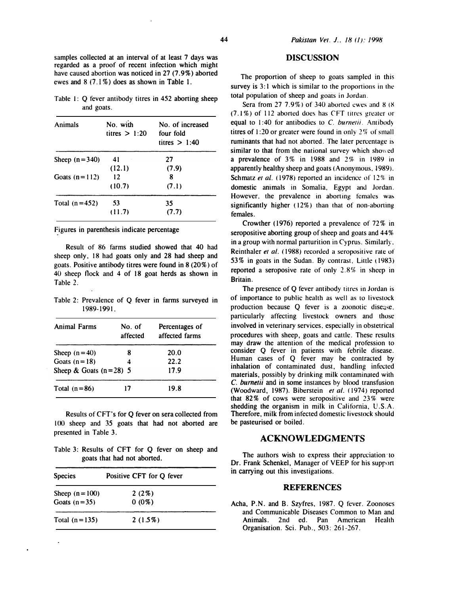samples collected at an interval of at least 7 days was regarded as a proof of recent infection which might have caused abortion was noticed in 27 (7.9%) aborted ewes and 8 (7 .1 %) does as shown in Table 1.

Table 1:  $Q$  fever antibody titres in 452 aborting sheep and goats.

| Animals         | No. with<br>titres $> 1.20$ | No. of increased<br>four fold<br>titres $> 1:40$ |
|-----------------|-----------------------------|--------------------------------------------------|
| Sheep $(n=340)$ | 41                          | 27                                               |
|                 | (12.1)                      | (7.9)                                            |
| Goats $(n=112)$ | 12                          | 8                                                |
|                 | (10.7)                      | (7.1)                                            |
| Total $(n=452)$ | 53                          | 35                                               |
|                 | (11.7)                      | (7.7)                                            |

Figures in parenthesis indicate percentage

Result of 86 farms studied showed that 40 had sheep only, 18 had goats only and 28 had sheep and goats. Positive antibody titres were found in 8 (20%) of 40 sheep tlock and 4 of 18 goat herds as shown in Table 2.

Table 2: Prevalence of Q fever in farms surveyed in 1989-1991.

| <b>Animal Farms</b>      | No. of<br>affected | Percentages of<br>affected farms |
|--------------------------|--------------------|----------------------------------|
| Sheep $(n=40)$           | 8                  | 20.0                             |
| Goats $(n=18)$           | 4                  | 22.2                             |
| Sheep & Goats $(n=28)$ 5 |                    | 17.9                             |
| Total $(n=86)$           | 17                 | 19.8                             |

Results of CFT's for Q fever on sera collected from I 00 sheep and 35 goats that had not aborted are presented in Table 3.

Table 3: Results of CFT for Q fever on sheep and goats that had not aborted.

| <b>Species</b>    | Positive CFT for Q fever |  |
|-------------------|--------------------------|--|
| Sheep $(n = 100)$ | 2(2%)                    |  |
| Goats $(n=35)$    | $0(0\%)$                 |  |
| Total $(n=135)$   | 2(1.5%)                  |  |

#### **DISCUSSION**

The proportion of sheep to goats sampled in this survey is 3:1 which is similar to the proportions in the total population of sheep and goats in Jordan.

Sera from 27 7.9%) of 340 aborted ewes and 8 (8)  $(7.1\%)$  of 112 aborted does has CFT titres greater or equal to 1:40 for antibodies to  $C$ . burnetii. Antibody titres of 1:20 or greater were found in only 2% of small ruminants that had not aborted. The later percentage is similar to that from the national survey which showed a prevalence of  $3\%$  in 1988 and  $2\%$  in 1989 in apparently healthy sheep and goats <Anonymous, 1989). Schmatz et al.  $(1978)$  reported an incidence of  $12\%$  in domestic animals in Somalia, Egypt and Jordan. However, the prevalence in aborting females was significantly higher (12%) than that of non-aborting females.

Crowther (1976) reported a prevalence of 72% in seropositive aborting group of sheep and goats and 44% in a group with normal parturition in Cyprus. Similarly, Reinthaler et al. (1988) recorded a seropositive rate of 53% in goats in the Sudan. By contrast. Linle ( 1983) reported a seroposive rate of only 2.8% in sheep in Britain.

The presence of Q fever antibody titres in Jordan is of importance to public health as well as to livestock production because  $Q$  fever is a zoonotic disease. particularly affecting livestock owners and those involved in veterinary services, especially in obstetrical procedures with sheep, goats and cattle. These results may draw the attention of the medical profession to consider Q fever in patients with febrile disease. Human cases of Q fever may he contracted by inhalation of contaminated dust, handling infected materials, possibly by drinking milk contaminated with C. burnetii and in some instances by blood transfusion (Woodward, 1987). Biberstein et al. (1974) reported that 82% of cows were seropositive and 23% were shedding the organism in milk in California, U.S.A. Therefore, milk from infected domestic livestock should be pasteurised or boiled.

## ACKNOWLEDGMENTS

The authors wish to express their appreciation to Dr. Frank Schenkel, Manager of VEEP for his support in carrying out this investigations.

#### REFERENCES

Acha, P.N. and B. Szyfres, 1987. Q fever. Zoonoses and Communicable Diseases Common to Man and Animals. 2nd ed. Pan American Health Organisation. Sci. Pub., 503: 261-267.